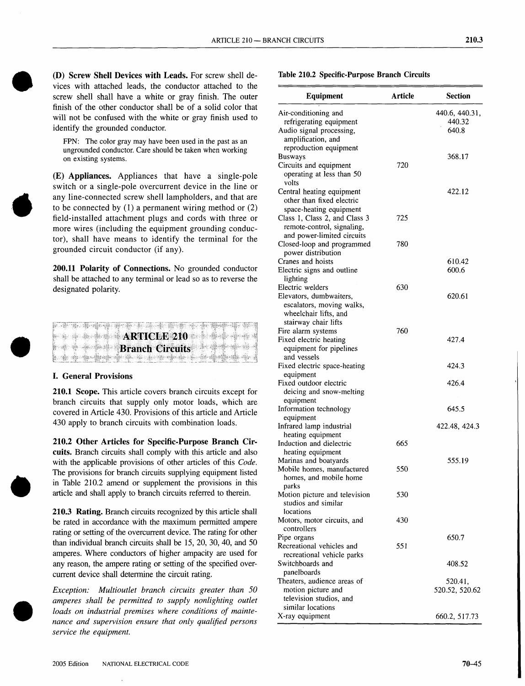(D) **Screw Shell Devices with Leads.** For screw shell devices with attached leads, the conductor attached to the screw shell shall have a white or gray finish. The outer finish of the other conductor shall be of a solid color that will not be confused with the white or gray finish used to identify the grounded conductor.

FPN: The color gray may have been used in the past as an ungrounded conductor. Care should be taken when working on existing systems.

(E) **Appliances.** Appliances that have a single-pole switch or a single-pole overcurrent device in the line or any line-connected screw shell lamphoiders, and that are to be connected by (1) a permanent wiring method or (2) field-installed attachment plugs and cords with three or more wires (including the equipment grounding conductor), shall have means to identify the terminal for the grounded circuit conductor (if any).

**200.11 Polarity of Connections.** No grounded conductor shall be attached to any terminal or lead so as to reverse the designated polarity.

|  | <b>ARTICLE 210</b>     |  |
|--|------------------------|--|
|  | <b>Branch Circuits</b> |  |
|  |                        |  |

## **I. General Provisions**

**210.1 Scope.** This article covers branch circuits except for branch circuits that supply only motor loads, which are covered in Article 430. Provisions of this article and Article 430 apply to branch circuits with combination loads.

**210.2 Other Articles for Specific-Purpose Branch Circuits.** Branch circuits shall comply with this article and also with the applicable provisions of other articles of this *Code.* The provisions for branch circuits supplying equipment listed in Table 210.2 amend or supplement the provisions in this article and shall apply to branch circuits referred to therein.

**210.3 Rating.** Branch circuits recognized by this article shall be rated in accordance with the maximum permitted ampere rating or setting of the overcurrent device. The rating for other than individual branch circuits shall be 15, 20, 30,40, and 50 amperes. Where conductors of higher ampacity are used for any reason, the ampere rating or setting of the specified overcurrent device shall determine the circuit rating.

*Exception: Multioutlet branch circuits greater than 50 amperes shall be permitted to supply nonlighting outlet loads on industrial premises where conditions of maintenance and supervision ensure that only qualified persons service the equipment.*

| <b>Equipment</b>                                                 | <b>Article</b> | <b>Section</b> |  |
|------------------------------------------------------------------|----------------|----------------|--|
| Air-conditioning and                                             |                | 440.6, 440.31, |  |
| refrigerating equipment                                          |                | 440.32         |  |
| Audio signal processing,                                         |                | 640.8          |  |
| amplification, and                                               |                |                |  |
| reproduction equipment                                           |                |                |  |
| <b>Busways</b>                                                   |                | 368.17         |  |
| Circuits and equipment                                           | 720            |                |  |
| operating at less than 50<br>volts                               |                |                |  |
| Central heating equipment                                        |                | 422.12         |  |
| other than fixed electric                                        |                |                |  |
| space-heating equipment                                          |                |                |  |
| Class 1, Class 2, and Class 3                                    | 725            |                |  |
| remote-control, signaling,                                       |                |                |  |
| and power-limited circuits                                       |                |                |  |
| Closed-loop and programmed                                       | 780            |                |  |
| power distribution                                               |                |                |  |
| Cranes and hoists                                                |                | 610.42         |  |
| Electric signs and outline                                       |                | 600.6          |  |
| lighting                                                         |                |                |  |
| Electric welders                                                 | 630            |                |  |
| Elevators, dumbwaiters,                                          |                | 620.61         |  |
| escalators, moving walks,                                        |                |                |  |
| wheelchair lifts, and                                            |                |                |  |
| stairway chair lifts                                             | 760            |                |  |
| Fire alarm systems                                               |                |                |  |
| Fixed electric heating<br>equipment for pipelines<br>and vessels |                | 427.4          |  |
|                                                                  |                | 424.3          |  |
| Fixed electric space-heating<br>equipment                        |                |                |  |
| Fixed outdoor electric                                           |                | 426.4          |  |
| deicing and snow-melting                                         |                |                |  |
| equipment                                                        |                |                |  |
| Information technology                                           |                | 645.5          |  |
| equipment                                                        |                |                |  |
| Infrared lamp industrial                                         |                | 422.48, 424.3  |  |
| heating equipment                                                |                |                |  |
| Induction and dielectric                                         | 665            |                |  |
| heating equipment                                                |                |                |  |
| Marinas and boatyards                                            |                | 555.19         |  |
| Mobile homes, manufactured                                       | 550            |                |  |
| homes, and mobile home                                           |                |                |  |
| parks                                                            |                |                |  |
| Motion picture and television                                    | 530            |                |  |
| studios and similar                                              |                |                |  |
| locations                                                        |                |                |  |
| Motors, motor circuits, and                                      | 430            |                |  |
| controllers                                                      |                |                |  |
| Pipe organs                                                      |                | 650.7          |  |
| Recreational vehicles and                                        | 551            |                |  |
| recreational vehicle parks                                       |                |                |  |
| Switchboards and                                                 |                | 408.52         |  |
| panelboards                                                      |                |                |  |
| Theaters, audience areas of                                      |                | 520.41,        |  |
| motion picture and                                               |                | 520.52, 520.62 |  |
| television studios, and                                          |                |                |  |
| similar locations                                                |                |                |  |
| X-ray equipment                                                  |                | 660.2, 517.73  |  |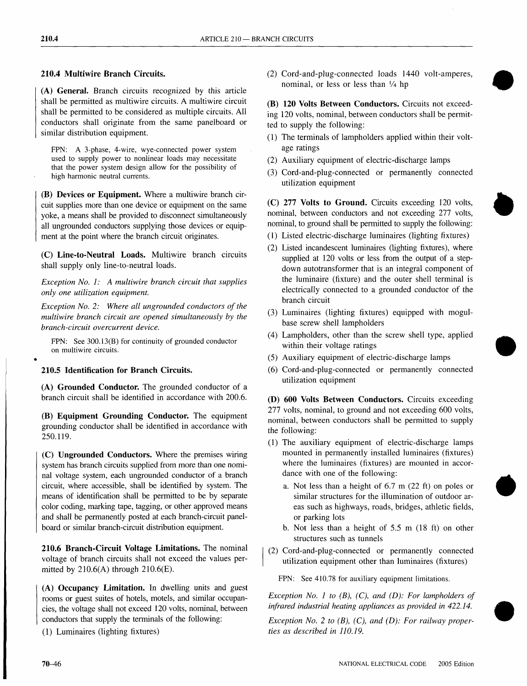# 210.4 Multiwire Branch Circuits.

(A) General. Branch circuits recognized by this article shall be permitted as multiwire circuits. A multiwire circuit shall be permitted to be considered as multiple circuits. All conductors shall originate from the same panelboard or similar distribution equipment.

FPN: A 3-phase, 4-wire, wye-connected power system used to supply power to nonlinear loads may necessitate that the power system design allow for the possibility of high harmonic neutral currents.

(B) Devices or Equipment. Where a multiwire branch circuit supplies more than one device or equipment on the same yoke, a means shall be provided to disconnect simultaneously all ungrounded conductors supplying those devices or equipment at the point where the branch circuit originates.

(C) Line-to-Neutral Loads. Multiwire branch circuits shall supply only line-to-neutral loads.

*Exception No.1: A multiwire branch circuit that supplies only one utilization equipment.*

*Exception No. 2: Where all ungrounded conductors of the multiwire branch circuit are opened simultaneously by the branch-circuit overcurrent device.*

FPN: See 300.13(B) for continuity of grounded conductor on multiwire circuits.

## 210.5 Identification for Branch Circuits.

(A) Grounded Conductor. The grounded conductor of a branch circuit shall be identified in accordance with 200.6.

(B) Equipment Grounding Conductor. The equipment grounding conductor shall be identified in accordance with 250.119.

(C) Ungrounded Conductors. Where the premises wiring system has branch circuits supplied from more than one nominal voltage system, each ungrounded conductor of a branch circuit, where accessible, shall be identified by system. The means of identification shall be permitted to be by separate color coding, marking tape, tagging, or other approved means and shall be permanently posted at each branch-circuit panelboard or similar branch-circuit distribution equipment.

210.6 Branch-Circuit Voltage Limitations. The nominal voltage of branch circuits shall not exceed the values permitted by  $210.6(A)$  through  $210.6(E)$ .

(A) Occupancy Limitation. In dwelling units and guest rooms or guest suites of hotels, motels, and similar occupancies, the voltage shall not exceed 120 volts, nominal, between conductors that supply the terminals of the following:

(1) Luminaires (lighting fixtures)

(2) Cord-and-plug-connected loads 1440 volt-amperes, nominal, or less or less than 1/4 hp

(B) 120 Volts Between Conductors. Circuits not exceeding 120 volts, nominal, between conductors shall be permitted to supply the following:

- (1) The terminals of lampholders applied within their voltage ratings
- (2) Auxiliary equipment of electric-discharge lamps
- (3) Cord-and-plug-connected or permanently connected utilization equipment

(C) 277 Volts to Ground. Circuits exceeding 120 volts, nominal, between conductors and not exceeding 277 volts, nominal, to ground shall be permitted to supply the following:

- (1) Listed electric-discharge luminaires (lighting fixtures)
- (2) Listed incandescent luminaires (lighting fixtures), where supplied at 120 volts or less from the output of a stepdown autotransformer that is an integral component of the luminaire (fixture) and the outer shell terminal is electrically connected to a grounded conductor of the branch circuit
- (3) Luminaires (lighting fixtures) equipped with mogulbase screw shell lampholders
- (4) Lampholders, other than the screw shell type, applied within their voltage ratings
- (5) Auxiliary equipment of electric-discharge lamps
- (6) Cord-and-plug-connected or permanently connected utilization equipment

(D) 600 Volts Between Conductors. Circuits exceeding 277 volts, nominal, to ground and not exceeding 600 volts, nominal, between conductors shall be permitted to supply the following:

- (1) The auxiliary equipment of electric-discharge lamps mounted in permanently installed luminaires (fixtures) where the luminaires (fixtures) are mounted in accordance with one of the following:
	- a. Not less than a height of 6.7 m (22 ft) on poles or similar structures for the illumination of outdoor areas such as highways, roads, bridges, athletic fields, or parking lots
	- b. Not less than a height of 5.5 m (18 ft) on other structures such as tunnels
- (2) Cord-and-plug-connected or permanently connected utilization equipment other than luminaires (fixtures)

FPN: See 410.78 for auxiliary equipment limitations.

I

*Exception No.1 to (B), (C), and (D): For lampholders of infrared industrial heating appliances as provided in 422.14.*

*Exception No.2 to (B), (C), and (D): For railway properties as described in 110.19.*

•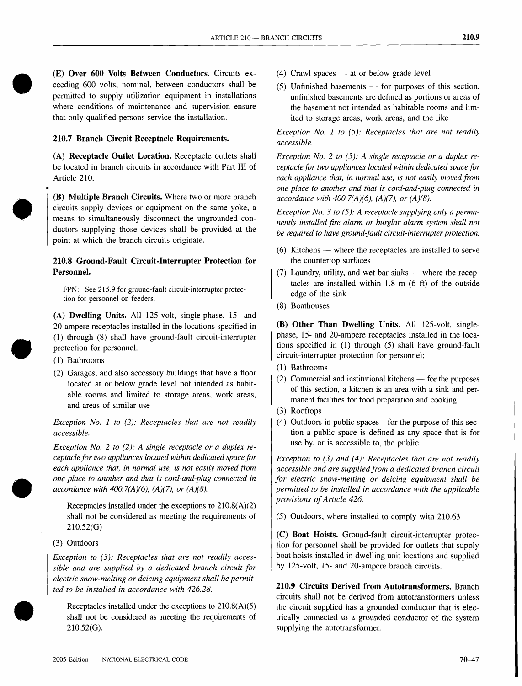(E) **Over 600 Volts Between Conductors.** Circuits exceeding 600 volts, nominal, between conductors shall be permitted to supply utilization equipment in installations where conditions of maintenance and supervision ensure that only qualified persons service the installation.

## **210.7 Branch Circuit Receptacle Requirements.**

(A) **Receptacle Outlet Location.** Receptacle outlets shall be located in branch circuits in accordance with Part **III** of Article 210.

(B) **Multiple Branch Circuits.** Where two or more branch circuits supply devices or equipment on the same yoke, a means to simultaneously disconnect the ungrounded conductors supplying those devices shall be provided at the point at which the branch circuits originate.

## **210.8 Ground-Fault Circuit-Interrupter Protection for Personnel.**

FPN: See 215.9 for ground-fault circuit-interrupter protection for personnel on feeders.

(A) **Dwelling Units.** All 125-volt, single-phase, 15- and 20-ampere receptacles installed in the locations specified in (1) through (8) shall have ground-fault circuit-interrupter protection for personnel.

(1) Bathrooms

•

(2) Garages, and also accessory buildings that have a floor located at or below grade level not intended as habitable rooms and limited to storage areas, work areas, and areas of similar use

*Exception No.* 1 *to* (2): *Receptacles that are not readily accessible.*

*Exception No.* 2 *to* (2): *A single receptacle or a duplex receptacle for two appliances located within dedicated space for each appliance that, in normal use, is not easily moved from one place to another and that is cord-and-plug connected in accordance with 400.7(A)(6), (A)(7), or (A)(8).*

Receptacles installed under the exceptions to 210.8(A)(2) shall not be considered as meeting the requirements of 210.52(G)

### (3) Outdoors

**•** 

*Exception to* (3): *Receptacles that are not readily accessible and are supplied by a dedicated branch circuit for electric snow-melting or deicing equipment shall be permitted to be installed in accordance with 426.28.*

Receptacles installed under the exceptions to 210.8(A)(5) shall not be considered as meeting the requirements of 210.52(G).

- $(4)$  Crawl spaces at or below grade level
- $(5)$  Unfinished basements  $-$  for purposes of this section, unfinished basements are defined as portions or areas of the basement not intended as habitable rooms and limited to storage areas, work areas, and the like

*Exception No.* 1 *to* (5): *Receptacles that are not readily accessible.*

*Exception No.2 to* (5): *A single receptacle or a duplex receptacle for two appliances located within dedicated space for each appliance that, in normal use, is not easily moved from one place to another and that is cord-and-plug connected in accordance with 400.7(A)(6), (A)(7), or (A)(8).*

*Exception No.3 to* (5): *A receptacle supplying only a permanently installed fire alarm or burglar alarm system shall not be required to have ground-fault circuit-interrupter protection.*

- $(6)$  Kitchens where the receptacles are installed to serve the countertop surfaces
- $(7)$  Laundry, utility, and wet bar sinks where the receptacles are installed within 1.8 m (6 ft) of the outside edge of the sink
- (8) Boathouses

(B) **Other Than Dwelling Units.** All 125-volt, singlephase, 15- and 20-ampere receptacles installed in the locations specified in (1) through (5) shall have ground-fault circuit-interrupter protection for personnel:

- (1) Bathrooms
- $(2)$  Commercial and institutional kitchens for the purposes of this section, a kitchen is an area with a sink and permanent facilities for food preparation and cooking
- (3) Rooftops
- (4) Outdoors in public spaces—for the purpose of this section a public space is defined as any space that is for use by, or is accessible to, the public

*Exception to* (3) *and* (4): *Receptacles that are not readily accessible and are supplied from a dedicated branch circuit for electric snow-melting or deicing equipment shall be permitted to be installed in accordance with the applicable provisions ofArticle 426.*

(5) Outdoors, where installed to comply with 210.63

(C) **Boat Hoists.** Ground-fault circuit-interrupter protection for personnel shall be provided for outlets that supply boat hoists installed in dwelling unit locations and supplied by 125-volt, 15- and 20-ampere branch circuits.

**210.9 Circuits Derived from Autotransformers.** Branch circuits shall not be derived from autotransformers unless the circuit supplied has a grounded conductor that is electrically connected to a grounded conductor of the system supplying the autotransformer.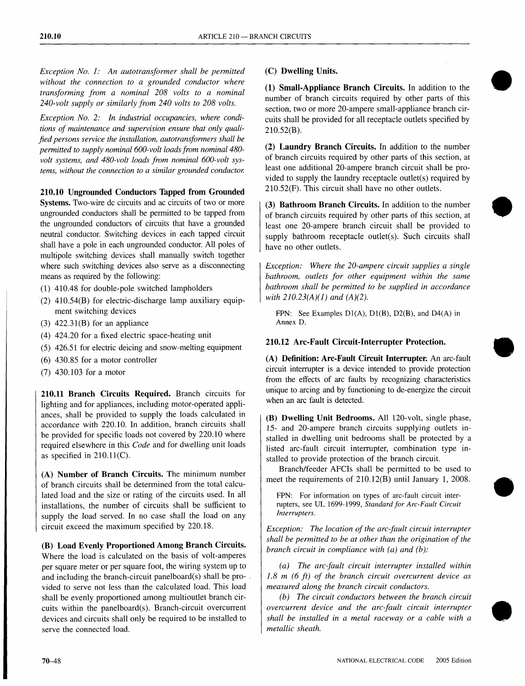*Exception No.1: An autotransformer shall be permitted without the connection to a grounded conductor where transforming from a nominal 208 volts to a nominal 240-volt supply or similarly from 240 volts to 208 volts.*

*Exception No.2: In industrial occupancies, where conditions of maintenance and supervision ensure that only qualified persons service the installation, autotransformers shall be permitted to supply nominal 600-volt loadsfrom nominal 480 volt systems, and 480-volt loads from nominal 600-volt systems, without the connection to a similar grounded conductor.*

## 210.10 Ungrounded Conductors Tapped from Grounded

Systems. Two-wire dc circuits and ac circuits of two or more ungrounded conductors shall be permitted to be tapped from the ungrounded conductors of circuits that have a grounded neutral conductor. Switching devices in each tapped circuit shall have a pole in each ungrounded conductor. All poles of multipole switching devices shall manually switch together where such switching devices also serve as a disconnecting means as required by the following:

- (1) 410.48 for double-pole switched lampholders
- (2) 410.54(B) for electric-discharge lamp auxiliary equipment switching devices
- $(3)$  422.31 $(B)$  for an appliance
- (4) 424.20 for a fixed electric space-heating unit
- (5) 426.51 for electric deicing and snow-melting equipment
- (6) 430.85 for a motor controller
- (7) 430.103 for a motor

210.11 Branch Circuits Required. Branch circuits for lighting and for appliances, including motor-operated appliances, shall be provided to supply the loads calculated in accordance with 220.10. In addition, branch circuits shall be provided for specific loads not covered by 220.10 where required elsewhere in this *Code* and for dwelling unit loads as specified in  $210.11(C)$ .

(A) Number of Branch Circuits. The minimum number of branch circuits shall be determined from the total calculated load and the size or rating of the circuits used. In all installations, the number of circuits shall be sufficient to supply the load served. In no case shall the load on any circuit exceed the maximum specified by 220.18.

(B) Load Evenly Proportioned Among Branch Circuits. Where the load is calculated on the basis of volt-amperes per square meter or per square foot, the wiring system up to and including the branch-circuit panelboard(s) shall be provided to serve not less than the calculated load. This load shall be evenly proportioned among multioutlet branch circuits within the panelboard(s). Branch-circuit overcurrent devices and circuits shall only be required to be installed to serve the connected load.

## (C) Dwelling Units.

(1) Small-Appliance Branch Circuits. In addition to the number of branch circuits required by other parts of this section, two or more 20-ampere small-appliance branch circuits shall be provided for all receptacle outlets specified by 210.52(B).

(2) Laundry Branch Circuits. In addition to the number of branch circuits required by other parts of this section, at least one additional 20-ampere branch circuit shall be provided to supply the laundry receptacle outlet(s) required by 210.52(F). This circuit shall have no other outlets.

(3) Bathroom Branch Circuits. In addition to the number of branch circuits required by other parts of this section, at least one 20-ampere branch circuit shall be provided to supply bathroom receptacle outlet(s). Such circuits shall have no other outlets.

*Exception: Where the 20-ampere circuit supplies a single bathroom, outlets for other equipment within the same bathroom shall be permitted to be supplied in accordance with 210.23(A)(1) and (A)(2).*

FPN: See Examples  $D1(A)$ ,  $D1(B)$ ,  $D2(B)$ , and  $D4(A)$  in Annex D.

### 210.12 Arc-Fault Circuit-Interrupter Protection.

(A) Definition: Arc-Fault Circuit Interrupter. An arc-fault circuit interrupter is a device intended to provide protection from the effects of arc faults by recognizing characteristics unique to arcing and by functioning to de-energize the circuit when an arc fault is detected.

(B) Dwelling Unit Bedrooms. All 120-volt, single phase, 15- and 20-ampere branch circuits supplying outlets installed in dwelling unit bedrooms shall be protected by a listed arc-fault circuit interrupter, combination type installed to provide protection of the branch circuit.

Branch/feeder AFCIs shall be permitted to be used to meet the requirements of 210.12(B) until January 1, 2008.

FPN: For information on types of arc-fault circuit interrupters, see UL 1699-1999, *Standard for Arc-Fault Circuit Interrupters.*

*Exception: The location of the arcjault circuit interrupter shall be permitted to be at other than the origination of the branch circuit in compliance with (a) and (b):*

*(a) The arc-fault circuit interrupter installed within 1.8 m* (6 *ft) of the branch circuit overcurrent device as measured along the branch circuit conductors.*

*(b) The circuit conductors between the branch circuit overcurrent device and the arc-fault circuit interrupter shall be installed in a metal raceway or a cable with a metallic sheath.*

•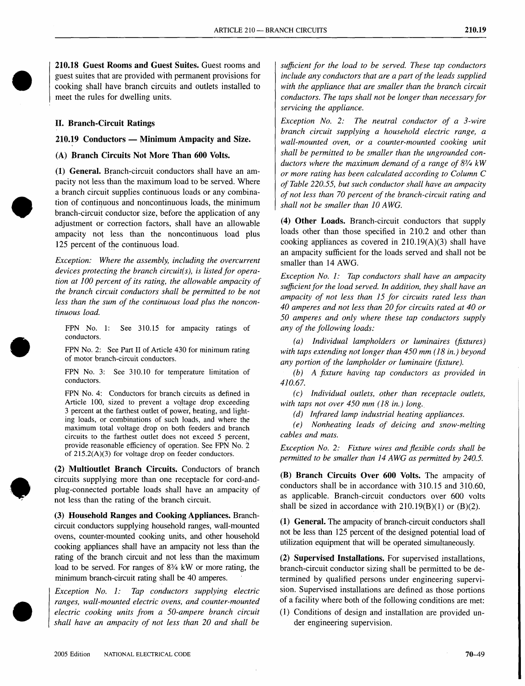210.18 Guest Rooms and Guest Suites. Guest rooms and guest suites that are provided with permanent provisions for cooking shall have branch circuits and outlets installed to meet the rules for dwelling units.

#### II. Branch-Circuit Ratings

 $210.19$  Conductors — Minimum Ampacity and Size.

(A) Branch Circuits Not More Than 600 Volts.

(1) General. Branch-circuit conductors shall have an ampacity not less than the maximum load to be served. Where a branch circuit supplies continuous loads or any combination of continuous and noncontinuous loads, the minimum branch-circuit conductor size, before the application of any adjustment or correction factors, shall have an allowable ampacity not less than the noncontinuous load plus 125 percent of the continuous load.

*Exception: Where the assembly, including the overcurrent devices protecting the branch circuit(s), is listed for operation at 100 percent of its rating, the allowable ampacity of the branch circuit conductors shall be permitted to be not less than the sum of the continuous load plus the noncontinuous load.*

FPN No. 1: See 310.15 for ampacity ratings of conductors.

FPN No.2: See Part II of Article 430 for minimum rating of motor branch-circuit conductors.

FPN No. 3: See 310.10 for temperature limitation of conductors.

FPN No. 4: Conductors for branch circuits as defined in Article 100, sized to prevent a voltage drop exceeding 3 percent at the farthest outlet of power: heating, and lighting loads, or combinations of such loads, and where the maximum total voltage drop on both feeders and branch circuits to the farthest outlet does not exceed 5 percent, provide reasonable efficiency of operation. See FPN No.2 of 215.2(A)(3) for voltage drop on feeder conductors.

(2) Multioutlet Branch Circuits. Conductors of branch circuits supplying more than one receptacle for cord-andplug-connected portable loads shall have an ampacity qf not less than the rating of the branch circuit.

(3) Household Ranges and Cooking Appliances. Branchcircuit conductors supplying household ranges, wall-mounted ovens, counter-mounted cooking units, and other household cooking appliances shall have an ampacity not less than the rating of the branch circuit and not less than the maximum load to be served. For ranges of  $8\frac{3}{4}$  kW or more rating, the minimum branch-circuit rating shall be 40 amperes.

*Exception No.1: Tap conductors supplying electric ranges, wall-mounted electric ovens, and counter-mounted electric cooking units from a 50-ampere branch circuit shall have an ampacity of not less than 20 and shall be*

*sufficient for the load to be served. These tap conductors include any conductors that are a part ofthe leads supplied with the appliance that are smaller than the branch circuit conductors. The taps shall not be longer than necessary for servicing the appliance.*

*Exception No.2: The neutral conductor of a 3-wire branch circuit supplying a household electric range, a wall-mounted oven, or a counter-mounted cooking unit shall be permitted to be smaller than the ungrounded conductors where the maximum demand of a range of* 83 /4 *kW or more rating has been calculated according to Column* C *of Table 220.55, but such conductor shall have an ampacity of not less than 70 percent of the branch-circuit rating and shall not be smaller than lOAWG.*

(4) Other Loads. Branch-circuit conductors that supply loads other than those specified in 210.2 and other than cooking appliances as covered in 210.19(A)(3) shall have an ampacity sufficient for the loads served and shall not be smaller than 14 AWG.

*Exception No.1: Tap conductors shall have an ampacity sufficient for the load served. In addition, they shall have an ampacity of not less than* 15 *for circuits rated less than 40 amperes and not less than 20 for circuits rated at 40 or 50 amperes and only where these tap conductors supply any of the following loads:*

*(a) Individual lampholders or luminaires (fixtures) with taps extending not longer than 450 mm* (18 *in.) beyond any portion of the lampholder or luminaire (fixture).*

*(b) A fixture having tap conductors as provided in 410.67.*

*(c) Individual outlets, other than receptacle outlets, with taps not over 450 mm* (18 *in.) long..*

*(d) Infrared lamp industrial heating appliances.*

*(e) Nonheating leads of deicing and snow-melting cables and mats.*

*Exception No.2: Fixture wires and flexible cords shall be pennitted to be smaller than* 14 *AWG as pennitted by 240.5.*

(B) Branch Circuits Over 600 Volts. The ampacity of conductors shall be in accordance with 310.15 and 310.60, as applicable. Branch-circuit conductors over 600 volts shall be sized in accordance with  $210.19(B)(1)$  or  $(B)(2)$ .

(1) General. The ampacity of branch-circuit conductors shall not be less than 125 percent of the designed potential load of utilization equipment that will be operated simultaneously.

(2) Supervised Installations. For supervised installations, branch-circuit conductor sizing shall be permitted to be determined by qualified persons under engineering supervision. Supervised installations are defined as those portions of a facility where both of the following conditions are met:

(1) Conditions of design and installation are provided under engineering supervision.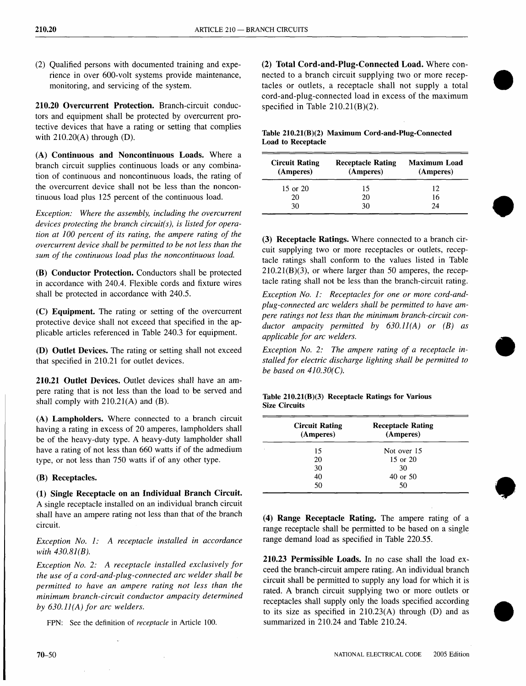(2) Qualified persons with documented training and experience in over 600-volt systems provide maintenance, monitoring, and servicing of the system.

210.20 Overcurrent Protection. Branch-circuit conductors and equipment shall be protected by overcurrent protective devices that have a rating or setting that complies with 210.20(A) through (D).

(A) Continuous and Noncontinuous Loads. Where a branch circuit supplies continuous loads or any combination of continuous and noncontinuous loads, the rating of the overcurrent device shall not be less than the noncontinuous load plus 125 percent of the continuous load.

*Exception: Where the assembly, including the overcurrent devices protecting the branch circuit(s), is listed for operation at 100 percent of its rating, the ampere rating of the overcurrent device shall be permitted to be not less than the sum of the continuous load plus the noncontinuous load.*

(B) Conductor Protection. Conductors shall be protected in accordance with 240.4. Flexible cords and fixture wires shall be protected in accordance with 240.5.

(C) Equipment. The rating or setting of the overcurrent protective device shall not exceed that specified in the applicable articles referenced in Table 240.3 for equipment.

(D) Outlet Devices. The rating or setting shall not exceed that specified in 210.21 for outlet devices.

210.21 Outlet Devices. Outlet devices shall have an ampere rating that is not less than the load to be served and shall comply with  $210.21(A)$  and  $(B)$ .

(A) Lampholders. Where connected to a branch circuit having a rating in excess of 20 amperes, lampholders shall be of the heavy-duty type. A heavy-duty lampholder shall have a rating of not less than 660 watts if of the admedium type, or not less than 750 watts if of any other type.

## (B) Receptacles.

(1) Single Receptacle on an Individual Branch Circuit. A single receptacle installed on an individual branch circuit shall have an ampere rating not less than that of the branch circuit.

## *Exception No.1: A receptacle installed in accordance with 430.81(B).*

*Exception No.2: A receptacle installed exclusively for the use of a cord-and-plug-connected arc welder shall be permitted to have an ampere rating not less than the minimum branch-circuit conductor ampacity determined by 630.* 11*(A) for arc welders.*

FPN: See the definition of *receptacle* in Article 100.

(2) Total Cord-and-Plug-Connected Load. Where connected to a branch circuit supplying two or more receptacles or outlets, a receptacle shall not supply a total cord-and-plug-connected load in excess of the maximum specified in Table 210.21(B)(2).

## Table 210.21(B)(2) Maximum Cord-and-Plug-Connected Load to Receptacle

| <b>Circuit Rating</b><br>(Amperes) | <b>Receptacle Rating</b><br>(Amperes) | <b>Maximum Load</b><br>(Amperes) |
|------------------------------------|---------------------------------------|----------------------------------|
| 15 or 20                           | 15                                    | 12                               |
| 20                                 | 20                                    | 16                               |
| 30                                 | 30                                    | 74                               |

(3) Receptacle Ratings. Where connected to a branch circuit supplying two or more receptacles or outlets, receptacle ratings shall conform to the values listed in Table  $210.21(B)(3)$ , or where larger than 50 amperes, the receptacle rating shall not be less than the branch-circuit rating.

*Exception No.1: Receptacles for one or more cord-andplug-connected arc welders shall be permitted to have ampere ratings not less than the minimum branch-circuit conductor ampacity permitted by 630.* 11*(A) or (B) as applicable for arc welders.*

*Exception No.2: The ampere rating of a receptacle installed for electric discharge lighting shall be permitted to be based on* 41*0.30(C).*

•

### Table 210.21(B)(3) Receptacle Ratings for Various Size Circuits

|   | <b>Circuit Rating</b><br>(Amperes) | <b>Receptacle Rating</b><br>(Amperes) |  |
|---|------------------------------------|---------------------------------------|--|
| ٠ | 15                                 | Not over 15                           |  |
|   | 20                                 | $15$ or $20$                          |  |
|   | 30                                 | 30                                    |  |
|   | 40                                 | 40 or 50                              |  |
|   | 50                                 | 50                                    |  |

(4) Range Receptacle Rating. The ampere rating of a range receptacle shall be permitted to be based on a single range demand load as specified in Table 220.55.

210.23 Permissible Loads. In no case shall the load exceed the branch-circuit ampere rating. An individual branch circuit shall be permitted to supply any load for which it is rated. A branch circuit supplying two or more outlets or receptacles shall supply only the loads specified according to its size as specified in 210.23(A) through (D) and as summarized in 210.24 and Table 210.24.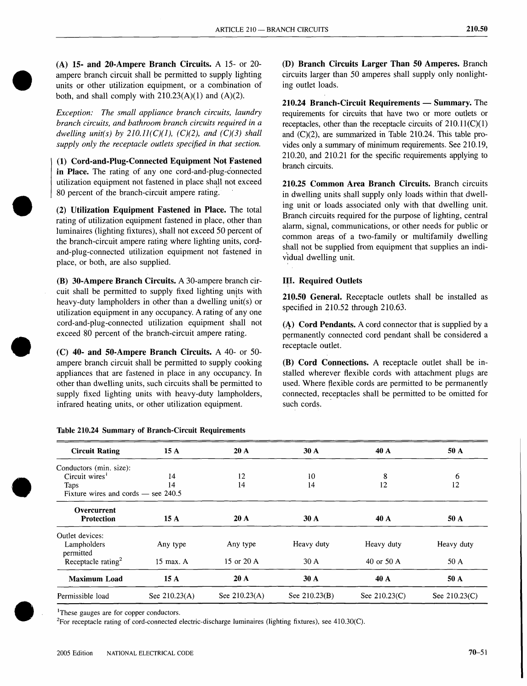(A) 15- and 20-Ampere Branch Circuits. A 15- or 20 ampere branch circuit shall be permitted to supply lighting units or other utilization equipment, or a combination of both, and shall comply with  $210.23(A)(1)$  and  $(A)(2)$ .

*Exception: The small appliance branch circuits, laundry branch circuits, and bathroom branch circuits required in a dwelling unit(s) by 210.11(C)(l), (C)(2), and (C)(3) shall supply only the receptacle outlets specified in that section.*

(1) Cord-and-Plug-Connected Equipment Not Fastened in Place. The rating of any one cord-and-plug-connected utilization equipment not fastened in place shall not exceed 80 percent of the branch-circuit ampere rating.

(2) Utilization Equipment Fastened in Place. The total rating of utilization equipment fastened in place, other than luminaires (lighting fixtures), shall not exceed 50 percent of the branch-circuit ampere rating where lighting units, cordand-plug-connected utilization equipment not fastened in place, or both, are also supplied.

(B) 30-Ampere Branch Circuits. A 30-ampere branch circuit shall be permitted to supply fixed lighting units with heavy-duty lampholders in other than a dwelling unit(s) or utilization equipment in any occupancy. A rating of anyone cord-and-plug-connected utilization equipment shall not exceed 80 percent of the branch-circuit ampere rating.

(C) 40- and 50-Ampere Branch Circuits. A 40- or 50 ampere branch circuit shall be permitted to supply cooking appliances that are fastened in place in any occupancy. In other than dwelling units, such circuits shall be permitted to supply fixed lighting units with heavy-duty lampholders, infrared heating units, or other utilization equipment.

Table 210.24 Summary of Branch-Circuit Requirements

(D) Branch Circuits Larger Than 50 Amperes. Branch circuits larger than 50 amperes shall supply only nonlighting outlet loads.

210.24 Branch-Circuit Requirements - Summary. The requirements for circuits that have two or more outlets or receptacles, other than the receptacle circuits of  $210.11(C)(1)$ and (C)(2), are summarized in Table 210.24. This table provides only a summary of minimum requirements. See 210.19, 210.20, and 210.21 for the specific requirements applying to branch circuits.

210.25 Common Area Branch Circuits. Branch circuits in dwelling units shall supply only loads within that dwelling unit or loads associated only with that dwelling unit. Branch circuits required for the purpose of lighting, central alarm, signal, communications, or other needs for public or common areas of a two-family or multifamily dwelling shall not be supplied from equipment that supplies an indiv'idual dwelling unit.

# III. Required Outlets

210.50 General. Receptacle outlets shall be installed as specified in 210.52 through 210.63.

 $(A)$  Cord Pendants. A cord connector that is supplied by a permanently connected cord pendant shall be considered a receptacle outlet.

(B) Cord Connections. A receptacle outlet shall be installed wherever flexible cords with attachment plugs are used. Where flexible cords are permitted to be permanently connected, receptacles shall be permitted to be omitted for such cords.

| <b>Circuit Rating</b>                   | 15A             | 20A           | 30A             | 40 A          | 50 A          |
|-----------------------------------------|-----------------|---------------|-----------------|---------------|---------------|
| Conductors (min. size):                 |                 |               |                 |               |               |
| Circuit wires <sup><math>1</math></sup> | 14              | 12            | 10              | 8             | 6             |
| Taps                                    | 14              | 14            | 14              | 12            | 12            |
| Fixture wires and cords $-$ see 240.5   |                 |               |                 |               |               |
| Overcurrent<br><b>Protection</b>        | 15A             | 20A           | 30A             | 40 A          | 50 A          |
| Outlet devices:                         |                 |               |                 |               |               |
| Lampholders<br>permitted                | Any type        | Any type      | Heavy duty      | Heavy duty    | Heavy duty    |
| Receptacle rating <sup>2</sup>          | $15$ max. A     | 15 or 20 A    | 30A             | 40 or 50 A    | 50 A          |
| <b>Maximum Load</b>                     | 15A             | 20A           | 30A             | 40 A          | 50 A          |
| Permissible load                        | See $210.23(A)$ | See 210.23(A) | See $210.23(B)$ | See 210.23(C) | See 210.23(C) |

<sup>1</sup>These gauges are for copper conductors.

2For receptacle rating of cord-connected electric-discharge luminaires (lighting fixtures), see 410.30(C).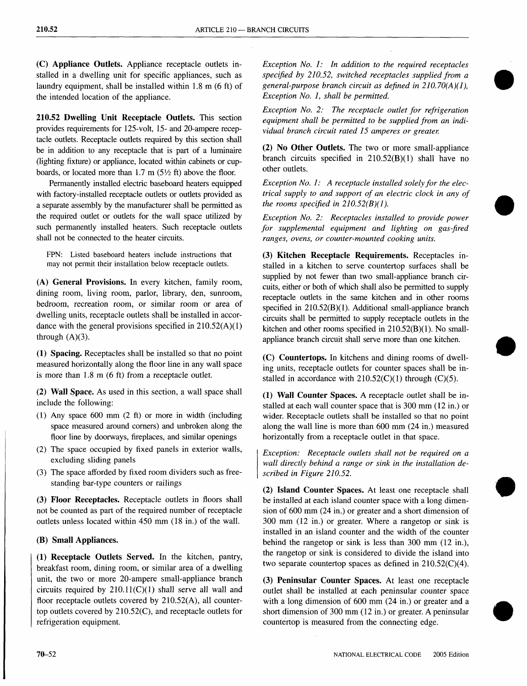(C) Appliance Outlets. Appliance receptacle outlets installed in a dwelling unit for specific appliances, such as laundry equipment, shall be installed within 1.8 m (6 ft) of the intended location of the appliance.

210.52 Dwelling Unit Receptacle Outlets. This section provides requirements for 125-volt, 15- and 20-ampere receptacle outlets. Receptacle outlets required by this section shall be in addition to any receptacle that is part of a luminaire (lighting fixture) or appliance, located within cabinets or cupboards, or located more than 1.7 m  $(5\frac{1}{2})$  ft) above the floor.

Permanently installed electric baseboard heaters equipped with factory-installed receptacle outlets or outlets provided as a separate assembly by the manufacturer shall be permitted as the required outlet or outlets for the wall space utilized by such permanently installed heaters. Such receptacle outlets shall not be connected to the heater circuits.

FPN: Listed baseboard heaters include instructions that may not permit their installation below receptacle outlets.

(A) General Provisions. In every kitchen, family room, dining room, living room, parlor, library, den, sunroom, bedroom, recreation room, or similar room or area of dwelling units, receptacle outlets shall be installed in accordance with the general provisions specified in 210.52(A)(1) through  $(A)(3)$ .

(1) Spacing. Receptacles shall be installed so that no point measured horizontally along the floor line in any wall space is more than 1.8 m (6 ft) from a receptacle outlet.

(2) Wall Space. As used in this section, a wall space shall include the following:

- (1) Any space 600 mm (2 ft) or more in width (including space measured around comers) and unbroken along the floor line by doorways, fireplaces, and similar openings
- (2) The space occupied by fixed panels in exterior walls, excluding sliding panels
- (3) The space afforded by fixed room dividers such as freestanding bar-type counters or railings

(3) Floor Receptacles. Receptacle outlets in floors shall not be counted as part of the required number of receptacle outlets unless located within 450 mm (18 in.) of the wall.

## (B) Small Appliances.

(1) Receptacle Outlets Served. In the kitchen, pantry, breakfast room, dining room, or similar area of a dwelling unit, the two or more 20-ampere small-appliance branch circuits required by  $210.11(C)(1)$  shall serve all wall and floor receptacle outlets covered by 210.52(A), all countertop outlets covered by 210.52(C), and receptacle outlets for refrigeration equipment.

*Exception No.1: In addition to the required receptacles specified by 210.52, switched receptacles supplied from a general-purpose branch circuit as defined in 210.70(A)(1), Exception No.1, shall be permitted.*

*Exception No.2: The receptacle outlet for refrigeration equipment shall be permitted to be supplied from an individual branch circuit rated* 15 *amperes or greater.*

(2) No Other Outlets. The two or more small-appliance branch circuits specified in  $210.52(B)(1)$  shall have no other outlets.

*Exception No.1: A receptacle installed solely for the electrical supply to and support of an electric clock in any of the rooms specified in 210.52(B)(1).*

*Exception No.2: Receptacles installed to provide power for supplemental equipment and lighting on gas-fired ranges, ovens, or counter-mounted cooking units.*

(3) Kitchen Receptacle Requirements. Receptacles installed in a kitchen to serve countertop surfaces shall be supplied by not fewer than two small-appliance branch circuits, either or both of which shall also be permitted to supply receptacle outlets in the same kitchen and in other rooms specified in 210.52(B)(1). Additional small-appliance branch circuits shall be permitted to supply receptacle outlets in the kitchen and other rooms specified in 210.52(B)(1). No smallappliance branch circuit shall serve more than one kitchen.

(C) Countertops. In kitchens and dining rooms of dwelling units, receptacle outlets for counter spaces shall be installed in accordance with  $210.52(C)(1)$  through (C)(5).

•

(1) Wall Counter Spaces. A receptacle outlet shall be installed at each wall counter space that is 300 mm (12 in.) or wider. Receptacle outlets shall be installed so that no point along the wall line is more than 600 mm (24 in.) measured horizontally from a receptacle outlet in that space.

*Exception: Receptacle outlets shall not be required on a wall directly behind a range or sink in the installation described in Figure 210.52.*

(2) Island Counter Spaces. At least one receptacle shall be installed at each island counter space with a long dimension of 600 mm (24 in.) or greater and a short dimension of 300 mm (12 in.) or greater. Where a rangetop or sink is installed in an island counter and the width of the counter behind the rangetop or sink is less than 300 mm (12 in.), the rangetop or sink is considered to divide the island into two separate countertop spaces as defined in 210.52(C)(4).

(3) Peninsular Counter Spaces. At least one receptacle outlet shall be installed at each peninsular counter space with a long dimension of 600 mm (24 in.) or greater and a short dimension of 300 mm (12 in.) or greater. A peninsular countertop is measured from the connecting edge.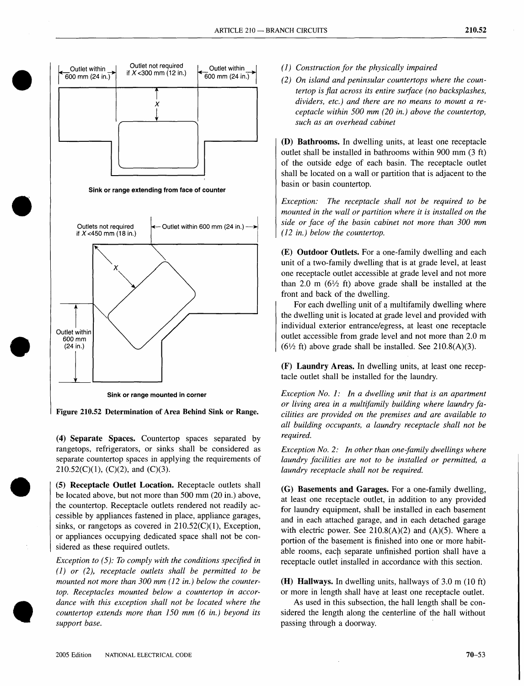

Figure 210.52 Determination of Area Behind Sink or Range.

(4) Separate Spaces. Countertop spaces separated by rangetops, refrigerators, or sinks shall be considered as separate countertop spaces in applying the requirements of  $210.52(C)(1)$ , (C)(2), and (C)(3).

(5) Receptacle Outlet Location. Receptacle outlets shall be located above, but not more than 500 mm (20 in.) above, the countertop. Receptacle outlets rendered not readily accessible by appliances fastened in place, appliance garages, sinks, or rangetops as covered in  $210.52(C)(1)$ , Exception, or appliances occupying dedicated space shall not be considered as these required outlets.

*Exception to* (5): *To comply with the conditions specified in (1) or* (2), *receptacle outlets shall be permitted to be mounted not more than 300 mm* (12 *in.) below the countertop. Receptacles mounted below a countertop in accordance with this exception shall not be located where the countertop extends more than 150 mm* (6 *in.) beyond its support base.*

- (1) *Construction for the physically impaired*
- *(2) On island and peninsular countertops where the countertop is fiat across its entire surface (no backsplashes, dividers, etc.) and there are no means to mount a receptacle within 500 mm (20 in.) above the countertop, such as an overhead cabinet*

(D) Bathrooms. In dwelling units, at least one receptacle outlet shall be installed in bathrooms within 900 mm (3 ft) of the outside edge of each basin. The receptacle outlet shall be located on a wall or partition that is adjacent to the basin or basin countertop.

*Exception: The receptacle shall not be required to be mounted in the wall or partition where it is installed on the side or face of the basin cabinet not more than 300 mm (12 in.) below the countertop.*

(E) Outdoor Outlets. For a one-family dwelling and each unit of a two-family dwelling that is at grade level, at least one receptacle outlet accessible at grade level and not more than 2.0 m ( $6\frac{1}{2}$  ft) above grade shall be installed at the front and back of the dwelling.

For each dwelling unit of a multifamily dwelling where the dwelling unit is located at grade level and provided with individual exterior entrance/egress, at least one receptacle outlet accessible from grade level and not more than 2.0 m  $(6\frac{1}{2}$  ft) above grade shall be installed. See 210.8(A)(3).

(F) Laundry Areas. In dwelling units, at least one receptacle outlet shall be installed for the laundry.

*Exception No.1: In a dwelling unit that is an apartment or living area in a multifamily building where laundry facilities are provided on the premises and are available to all building occupants, a laundry receptacle shall not be required.*

*Exception No.2: In other than one-family dwellings where laundry facilities are not to be installed or permitted, a laundry receptacle shall not be required.*

(G) Basements and Garages. For a one-family dwelling, at least one receptacle outlet, in addition to any provided for laundry equipment, shall be installed in each basement and in each attached garage, and in each detached garage with electric power. See  $210.8(A)(2)$  and  $(A)(5)$ . Where a portion of the basement is finished into one or more habitable rooms, each separate unfinished portion shall have a receptacle outlet installed in accordance with this section.

(H) Hallways. In dwelling units, hallways of 3.0 m (10 ft) or more in length shall have at least one receptacle outlet.

As used in this subsection, the hall length shall be considered the length along the centerline of the hall without passing through a doorway.

**•**